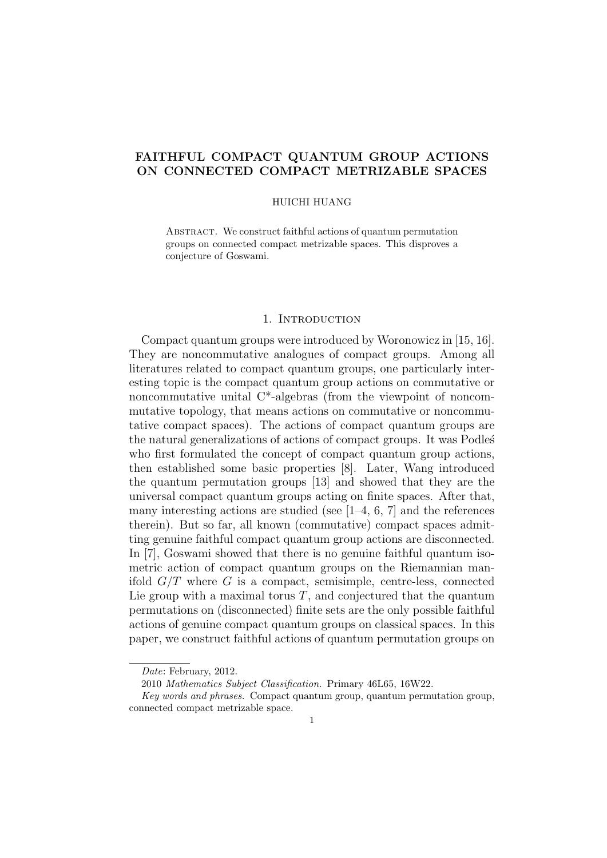# FAITHFUL COMPACT QUANTUM GROUP ACTIONS ON CONNECTED COMPACT METRIZABLE SPACES

#### HUICHI HUANG

ABSTRACT. We construct faithful actions of quantum permutation groups on connected compact metrizable spaces. This disproves a conjecture of Goswami.

### 1. INTRODUCTION

Compact quantum groups were introduced by Woronowicz in [15, 16]. They are noncommutative analogues of compact groups. Among all literatures related to compact quantum groups, one particularly interesting topic is the compact quantum group actions on commutative or noncommutative unital C\*-algebras (from the viewpoint of noncommutative topology, that means actions on commutative or noncommutative compact spaces). The actions of compact quantum groups are the natural generalizations of actions of compact groups. It was Podles who first formulated the concept of compact quantum group actions, then established some basic properties [8]. Later, Wang introduced the quantum permutation groups [13] and showed that they are the universal compact quantum groups acting on finite spaces. After that, many interesting actions are studied (see  $[1-4, 6, 7]$  and the references therein). But so far, all known (commutative) compact spaces admitting genuine faithful compact quantum group actions are disconnected. In [7], Goswami showed that there is no genuine faithful quantum isometric action of compact quantum groups on the Riemannian manifold  $G/T$  where G is a compact, semisimple, centre-less, connected Lie group with a maximal torus  $T$ , and conjectured that the quantum permutations on (disconnected) finite sets are the only possible faithful actions of genuine compact quantum groups on classical spaces. In this paper, we construct faithful actions of quantum permutation groups on

Date: February, 2012.

<sup>2010</sup> Mathematics Subject Classification. Primary 46L65, 16W22.

Key words and phrases. Compact quantum group, quantum permutation group, connected compact metrizable space.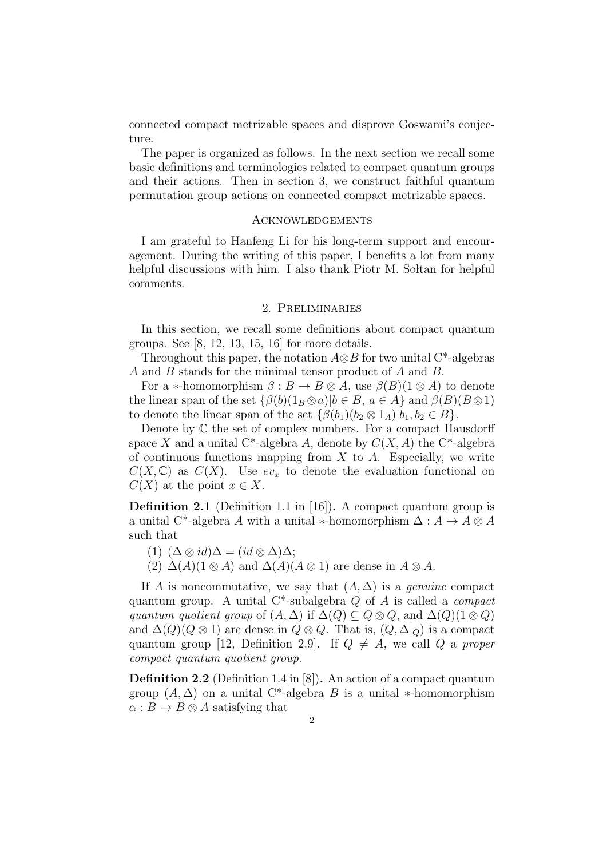connected compact metrizable spaces and disprove Goswami's conjecture.

The paper is organized as follows. In the next section we recall some basic definitions and terminologies related to compact quantum groups and their actions. Then in section 3, we construct faithful quantum permutation group actions on connected compact metrizable spaces.

#### **ACKNOWLEDGEMENTS**

I am grateful to Hanfeng Li for his long-term support and encouragement. During the writing of this paper, I benefits a lot from many helpful discussions with him. I also thank Piotr M. Soltan for helpful comments.

## 2. Preliminaries

In this section, we recall some definitions about compact quantum groups. See  $[8, 12, 13, 15, 16]$  for more details.

Throughout this paper, the notation  $A \otimes B$  for two unital C<sup>\*</sup>-algebras A and B stands for the minimal tensor product of A and B.

For a  $\ast$ -homomorphism  $\beta : B \to B \otimes A$ , use  $\beta(B)(1 \otimes A)$  to denote the linear span of the set  $\{\beta(b)(1_B \otimes a)|b \in B, a \in A\}$  and  $\beta(B)(B \otimes 1)$ to denote the linear span of the set  $\{\beta(b_1)(b_2 \otimes 1_A)| b_1, b_2 \in B\}.$ 

Denote by  $\mathbb C$  the set of complex numbers. For a compact Hausdorff space X and a unital C<sup>\*</sup>-algebra A, denote by  $C(X, A)$  the C<sup>\*</sup>-algebra of continuous functions mapping from  $X$  to  $A$ . Especially, we write  $C(X,\mathbb{C})$  as  $C(X)$ . Use  $ev_x$  to denote the evaluation functional on  $C(X)$  at the point  $x \in X$ .

Definition 2.1 (Definition 1.1 in [16]). A compact quantum group is a unital C<sup>\*</sup>-algebra A with a unital ∗-homomorphism  $\Delta: A \to A \otimes A$ such that

(1)  $(\Delta \otimes id) \Delta = (id \otimes \Delta) \Delta;$ 

(2)  $\Delta(A)(1 \otimes A)$  and  $\Delta(A)(A \otimes 1)$  are dense in  $A \otimes A$ .

If A is noncommutative, we say that  $(A, \Delta)$  is a *genuine* compact quantum group. A unital  $C^*$ -subalgebra  $Q$  of  $A$  is called a *compact* quantum quotient group of  $(A, \Delta)$  if  $\Delta(Q) \subseteq Q \otimes Q$ , and  $\Delta(Q)$ (1 ⊗ Q) and  $\Delta(Q)(Q \otimes 1)$  are dense in  $Q \otimes Q$ . That is,  $(Q, \Delta|_Q)$  is a compact quantum group [12, Definition 2.9]. If  $Q \neq A$ , we call Q a proper compact quantum quotient group.

Definition 2.2 (Definition 1.4 in [8]). An action of a compact quantum group  $(A, \Delta)$  on a unital C<sup>\*</sup>-algebra B is a unital \*-homomorphism  $\alpha : B \to B \otimes A$  satisfying that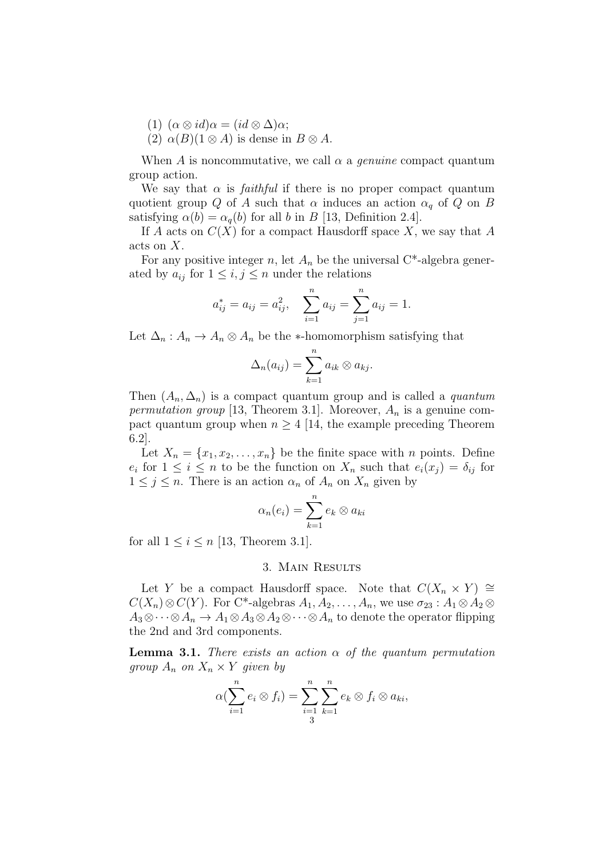- (1)  $(\alpha \otimes id) \alpha = (id \otimes \Delta) \alpha;$
- (2)  $\alpha(B)(1 \otimes A)$  is dense in  $B \otimes A$ .

When A is noncommutative, we call  $\alpha$  a *genuine* compact quantum group action.

We say that  $\alpha$  is *faithful* if there is no proper compact quantum quotient group Q of A such that  $\alpha$  induces an action  $\alpha_q$  of Q on B satisfying  $\alpha(b) = \alpha_a(b)$  for all b in B [13, Definition 2.4].

If A acts on  $C(X)$  for a compact Hausdorff space X, we say that A acts on X.

For any positive integer n, let  $A_n$  be the universal C<sup>\*</sup>-algebra generated by  $a_{ij}$  for  $1 \leq i, j \leq n$  under the relations

$$
a_{ij}^* = a_{ij} = a_{ij}^2
$$
,  $\sum_{i=1}^n a_{ij} = \sum_{j=1}^n a_{ij} = 1$ .

Let  $\Delta_n$ :  $A_n \to A_n \otimes A_n$  be the ∗-homomorphism satisfying that

$$
\Delta_n(a_{ij})=\sum_{k=1}^n a_{ik}\otimes a_{kj}.
$$

Then  $(A_n, \Delta_n)$  is a compact quantum group and is called a *quantum* permutation group [13, Theorem 3.1]. Moreover,  $A_n$  is a genuine compact quantum group when  $n \geq 4$  [14, the example preceding Theorem 6.2].

Let  $X_n = \{x_1, x_2, \ldots, x_n\}$  be the finite space with *n* points. Define  $e_i$  for  $1 \leq i \leq n$  to be the function on  $X_n$  such that  $e_i(x_j) = \delta_{ij}$  for  $1 \leq j \leq n$ . There is an action  $\alpha_n$  of  $A_n$  on  $X_n$  given by

$$
\alpha_n(e_i) = \sum_{k=1}^n e_k \otimes a_{ki}
$$

for all  $1 \leq i \leq n$  [13, Theorem 3.1].

## 3. Main Results

Let Y be a compact Hausdorff space. Note that  $C(X_n \times Y) \cong$  $C(X_n) \otimes C(Y)$ . For C<sup>\*</sup>-algebras  $A_1, A_2, \ldots, A_n$ , we use  $\sigma_{23} : A_1 \otimes A_2 \otimes$  $A_3\otimes\cdots\otimes A_n\to A_1\otimes A_3\otimes A_2\otimes\cdots\otimes A_n$  to denote the operator flipping the 2nd and 3rd components.

**Lemma 3.1.** There exists an action  $\alpha$  of the quantum permutation group  $A_n$  on  $X_n \times Y$  given by

$$
\alpha(\sum_{i=1}^n e_i \otimes f_i) = \sum_{i=1}^n \sum_{k=1}^n e_k \otimes f_i \otimes a_{ki},
$$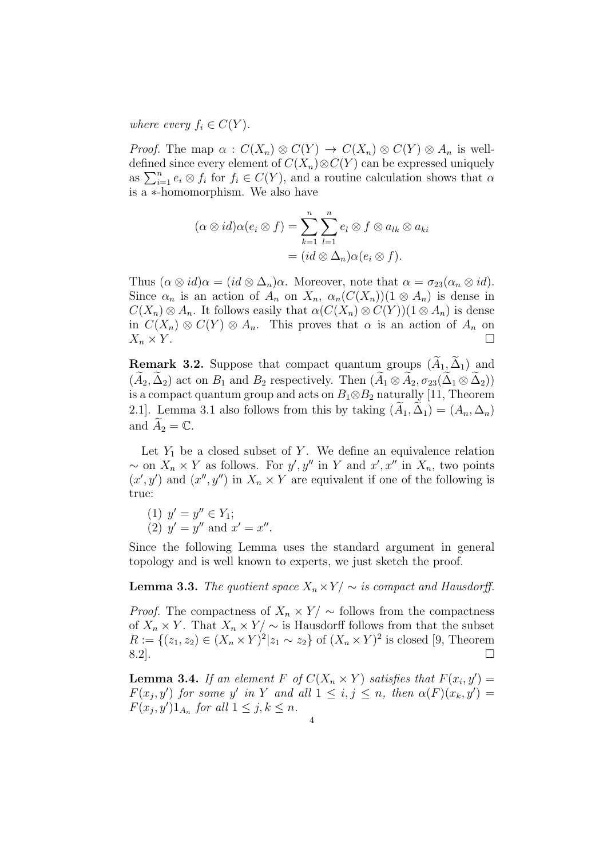where every  $f_i \in C(Y)$ .

*Proof.* The map  $\alpha : C(X_n) \otimes C(Y) \to C(X_n) \otimes C(Y) \otimes A_n$  is welldefined since every element of  $C(X_n) \otimes C(Y)$  can be expressed uniquely as  $\sum_{i=1}^n e_i \otimes f_i$  for  $f_i \in C(Y)$ , and a routine calculation shows that  $\alpha$ is a ∗-homomorphism. We also have

$$
(\alpha \otimes id)\alpha(e_i \otimes f) = \sum_{k=1}^n \sum_{l=1}^n e_l \otimes f \otimes a_{lk} \otimes a_{ki}
$$
  
= 
$$
(id \otimes \Delta_n)\alpha(e_i \otimes f).
$$

Thus  $(\alpha \otimes id) \alpha = (id \otimes \Delta_n) \alpha$ . Moreover, note that  $\alpha = \sigma_{23}(\alpha_n \otimes id)$ . Since  $\alpha_n$  is an action of  $A_n$  on  $X_n$ ,  $\alpha_n(C(X_n))(1 \otimes A_n)$  is dense in  $C(X_n) \otimes A_n$ . It follows easily that  $\alpha(C(X_n) \otimes C(Y))(1 \otimes A_n)$  is dense in  $C(X_n) \otimes C(Y) \otimes A_n$ . This proves that  $\alpha$  is an action of  $A_n$  on  $X_n \times Y$ .

**Remark 3.2.** Suppose that compact quantum groups  $(A_1, \Delta_1)$  and  $(A_2, \Delta_2)$  act on  $B_1$  and  $B_2$  respectively. Then  $(A_1 \otimes A_2, \sigma_{23}(\Delta_1 \otimes \Delta_2))$ is a compact quantum group and acts on  $B_1 \otimes B_2$  naturally [11, Theorem 2.1]. Lemma 3.1 also follows from this by taking  $(A_1, \Delta_1) = (A_n, \Delta_n)$ and  $A_2 = \mathbb{C}$ .

Let  $Y_1$  be a closed subset of Y. We define an equivalence relation ~ on  $X_n \times Y$  as follows. For  $y', y''$  in Y and  $x', x''$  in  $X_n$ , two points  $(x', y')$  and  $(x'', y'')$  in  $X_n \times Y$  are equivalent if one of the following is true:

(1)  $y' = y'' \in Y_1;$ (2)  $y' = y''$  and  $x' = x''$ .

Since the following Lemma uses the standard argument in general topology and is well known to experts, we just sketch the proof.

## **Lemma 3.3.** The quotient space  $X_n \times Y / \sim$  is compact and Hausdorff.

*Proof.* The compactness of  $X_n \times Y / \sim$  follows from the compactness of  $X_n \times Y$ . That  $X_n \times Y / \sim$  is Hausdorff follows from that the subset  $R := \{(z_1, z_2) \in (X_n \times Y)^2 | z_1 \sim z_2\}$  of  $(X_n \times Y)^2$  is closed [9, Theorem  $8.2$ ].

**Lemma 3.4.** If an element F of  $C(X_n \times Y)$  satisfies that  $F(x_i, y') =$  $F(x_j, y')$  for some y' in Y and all  $1 \leq i, j \leq n$ , then  $\alpha(F)(x_k, y') =$  $F(x_j, y')1_{A_n}$  for all  $1 \leq j, k \leq n$ .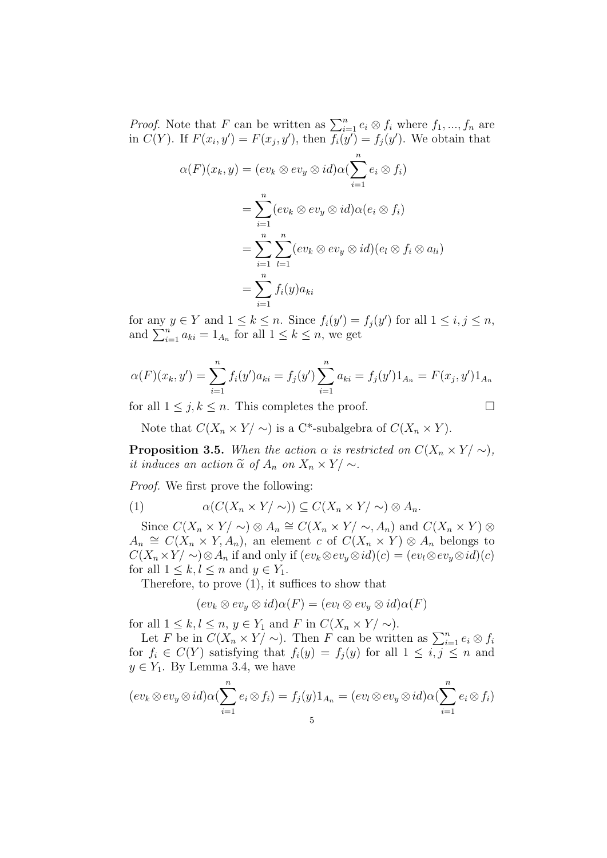*Proof.* Note that F can be written as  $\sum_{i=1}^{n} e_i \otimes f_i$  where  $f_1, ..., f_n$  are in  $C(Y)$ . If  $F(x_i, y') = F(x_j, y')$ , then  $f_i(y') = f_j(y')$ . We obtain that

$$
\alpha(F)(x_k, y) = (ev_k \otimes ev_y \otimes id)\alpha(\sum_{i=1}^n e_i \otimes f_i)
$$
  
= 
$$
\sum_{i=1}^n (ev_k \otimes ev_y \otimes id)\alpha(e_i \otimes f_i)
$$
  
= 
$$
\sum_{i=1}^n \sum_{l=1}^n (ev_k \otimes ev_y \otimes id)(e_l \otimes f_i \otimes a_{li})
$$
  
= 
$$
\sum_{i=1}^n f_i(y)a_{ki}
$$

for any  $y \in Y$  and  $1 \leq k \leq n$ . Since  $f_i(y') = f_j(y')$  for all  $1 \leq i, j \leq n$ , and  $\sum_{i=1}^{n} a_{ki} = 1_{A_n}$  for all  $1 \leq k \leq n$ , we get

$$
\alpha(F)(x_k, y') = \sum_{i=1}^n f_i(y') a_{ki} = f_j(y') \sum_{i=1}^n a_{ki} = f_j(y') 1_{A_n} = F(x_j, y') 1_{A_n}
$$

for all  $1 \leq j, k \leq n$ . This completes the proof.

$$
\qquad \qquad \Box
$$

Note that  $C(X_n \times Y/\sim)$  is a C<sup>\*</sup>-subalgebra of  $C(X_n \times Y)$ .

**Proposition 3.5.** When the action  $\alpha$  is restricted on  $C(X_n \times Y) \sim$ , it induces an action  $\tilde{\alpha}$  of  $A_n$  on  $X_n \times Y/\sim$ .

Proof. We first prove the following:

(1) 
$$
\alpha(C(X_n \times Y/\sim)) \subseteq C(X_n \times Y/\sim) \otimes A_n.
$$

Since  $C(X_n \times Y) \otimes A_n \cong C(X_n \times Y) \sim A_n$  and  $C(X_n \times Y) \otimes$  $A_n \cong C(X_n \times Y, A_n)$ , an element c of  $C(X_n \times Y) \otimes A_n$  belongs to  $C(X_n\times Y/\sim) \otimes A_n$  if and only if  $(ev_k \otimes ev_y \otimes id)(c) = (ev_l \otimes ev_y \otimes id)(c)$ for all  $1 \leq k, l \leq n$  and  $y \in Y_1$ .

Therefore, to prove (1), it suffices to show that

$$
(ev_k \otimes ev_y \otimes id)\alpha(F) = (ev_l \otimes ev_y \otimes id)\alpha(F)
$$

for all  $1 \leq k, l \leq n, y \in Y_1$  and F in  $C(X_n \times Y/\sim)$ .

Let F be in  $C(X_n \times Y/\sim)$ . Then F can be written as  $\sum_{i=1}^n e_i \otimes f_i$ for  $f_i \in C(Y)$  satisfying that  $f_i(y) = f_j(y)$  for all  $1 \leq i, j \leq n$  and  $y \in Y_1$ . By Lemma 3.4, we have

$$
(ev_k \otimes ev_y \otimes id)\alpha(\sum_{i=1}^n e_i \otimes f_i) = f_j(y)1_{A_n} = (ev_l \otimes ev_y \otimes id)\alpha(\sum_{i=1}^n e_i \otimes f_i)
$$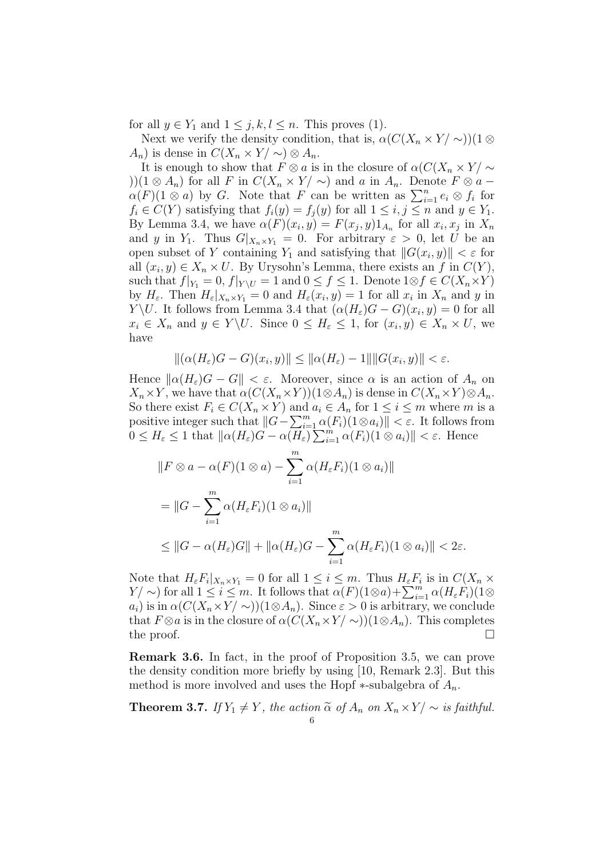for all  $y \in Y_1$  and  $1 \leq j, k, l \leq n$ . This proves (1).

Next we verify the density condition, that is,  $\alpha(C(X_n \times Y/\sim))(1\otimes$  $A_n$ ) is dense in  $C(X_n \times Y/\sim) \otimes A_n$ .

It is enough to show that  $F \otimes a$  is in the closure of  $\alpha(C(X_n \times Y) \sim$ ))(1 ⊗  $A_n$ ) for all F in  $C(X_n \times Y/\sim)$  and a in  $A_n$ . Denote  $F \otimes a$  –  $\alpha(F)(1 \otimes a)$  by G. Note that F can be written as  $\sum_{i=1}^{n} e_i \otimes f_i$  for  $f_i \in C(Y)$  satisfying that  $f_i(y) = f_j(y)$  for all  $1 \leq i, j \leq n$  and  $y \in Y_1$ . By Lemma 3.4, we have  $\alpha(F)(x_i, y) = F(x_j, y)1_{A_n}$  for all  $x_i, x_j$  in  $X_n$ and y in Y<sub>1</sub>. Thus  $G|_{X_n \times Y_1} = 0$ . For arbitrary  $\varepsilon > 0$ , let U be an open subset of Y containing  $Y_1$  and satisfying that  $||G(x_i, y)|| < \varepsilon$  for all  $(x_i, y) \in X_n \times U$ . By Urysohn's Lemma, there exists an f in  $C(Y)$ , such that  $f|_{Y_1} = 0$ ,  $f|_{Y \setminus U} = 1$  and  $0 \le f \le 1$ . Denote  $1 \otimes f \in C(X_n \times Y)$ by  $H_{\varepsilon}$ . Then  $H_{\varepsilon}|_{X_n \times Y_1} = 0$  and  $H_{\varepsilon}(x_i, y) = 1$  for all  $x_i$  in  $X_n$  and  $y$  in Y\U. It follows from Lemma 3.4 that  $(\alpha(H_{\varepsilon})G - G)(x_i, y) = 0$  for all  $x_i \in X_n$  and  $y \in Y \backslash U$ . Since  $0 \le H_{\varepsilon} \le 1$ , for  $(x_i, y) \in X_n \times U$ , we have

$$
\|(\alpha(H_{\varepsilon})G - G)(x_i, y)\| \le \|\alpha(H_{\varepsilon}) - 1\| \|G(x_i, y)\| < \varepsilon.
$$

Hence  $\|\alpha(H_{\varepsilon})G - G\| < \varepsilon$ . Moreover, since  $\alpha$  is an action of  $A_n$  on  $X_n\times Y$ , we have that  $\alpha(C(X_n\times Y))(1\otimes A_n)$  is dense in  $C(X_n\times Y)\otimes A_n$ . So there exist  $F_i \in C(X_n \times Y)$  and  $a_i \in A_n$  for  $1 \leq i \leq m$  where m is a positive integer such that  $||G - \sum_{i=1}^{m} \alpha(F_i)(1 \otimes a_i)|| < \varepsilon$ . It follows from  $0 \leq H_{\varepsilon} \leq 1$  that  $\|\alpha(H_{\varepsilon})G - \alpha(H_{\varepsilon})\sum_{i=1}^{m} \alpha(F_i)(1 \otimes a_i)\| < \varepsilon$ . Hence

$$
||F \otimes a - \alpha(F)(1 \otimes a) - \sum_{i=1}^{m} \alpha(H_{\varepsilon} F_i)(1 \otimes a_i)||
$$
  
= 
$$
||G - \sum_{i=1}^{m} \alpha(H_{\varepsilon} F_i)(1 \otimes a_i)||
$$
  

$$
\leq ||G - \alpha(H_{\varepsilon})G|| + ||\alpha(H_{\varepsilon})G - \sum_{i=1}^{m} \alpha(H_{\varepsilon} F_i)(1 \otimes a_i)|| < 2\varepsilon.
$$

Note that  $H_{\varepsilon}F_i|_{X_n\times Y_1}=0$  for all  $1\leq i\leq m$ . Thus  $H_{\varepsilon}F_i$  is in  $C(X_n\times Y_1)$  $Y/\sim$ ) for all  $1 \leq i \leq m$ . It follows that  $\alpha(F)(1\otimes a) + \sum_{i=1}^{m} \alpha(H_{\varepsilon}F_i)(1\otimes a)$  $a_i$ ) is in  $\alpha(C(X_n\times Y/\sim))(1\otimes A_n)$ . Since  $\varepsilon>0$  is arbitrary, we conclude that  $F \otimes a$  is in the closure of  $\alpha(C(X_n \times Y/\sim))(1 \otimes A_n)$ . This completes the proof.  $\Box$ 

Remark 3.6. In fact, in the proof of Proposition 3.5, we can prove the density condition more briefly by using [10, Remark 2.3]. But this method is more involved and uses the Hopf  $\ast$ -subalgebra of  $A_n$ .

**Theorem 3.7.** If  $Y_1 \neq Y$ , the action  $\tilde{\alpha}$  of  $A_n$  on  $X_n \times Y/\sim$  is faithful.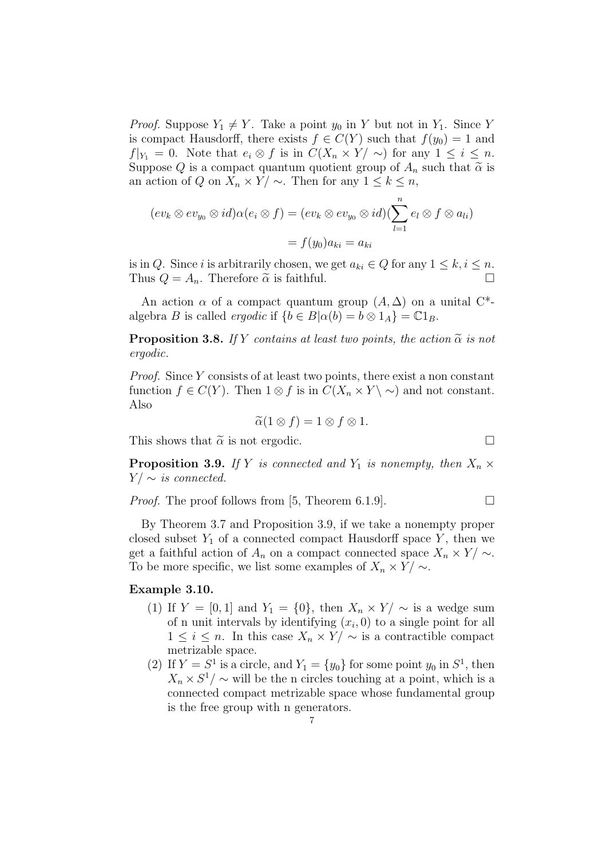*Proof.* Suppose  $Y_1 \neq Y$ . Take a point  $y_0$  in Y but not in  $Y_1$ . Since Y is compact Hausdorff, there exists  $f \in C(Y)$  such that  $f(y_0) = 1$  and  $f|_{Y_1} = 0$ . Note that  $e_i \otimes f$  is in  $C(X_n \times Y) \sim$  for any  $1 \leq i \leq n$ . Suppose Q is a compact quantum quotient group of  $A_n$  such that  $\tilde{\alpha}$  is an action of Q on  $X_n \times Y / \sim$ . Then for any  $1 \leq k \leq n$ ,

$$
(ev_k \otimes ev_{y_0} \otimes id)\alpha(e_i \otimes f) = (ev_k \otimes ev_{y_0} \otimes id)(\sum_{l=1}^n e_l \otimes f \otimes a_{li})
$$

$$
= f(y_0)a_{ki} = a_{ki}
$$

is in Q. Since i is arbitrarily chosen, we get  $a_{ki} \in Q$  for any  $1 \leq k, i \leq n$ . Thus  $Q = A_n$ . Therefore  $\tilde{\alpha}$  is faithful.

An action  $\alpha$  of a compact quantum group  $(A, \Delta)$  on a unital C<sup>\*</sup>algebra B is called *ergodic* if  $\{b \in B | \alpha(b) = b \otimes 1_A\} = \mathbb{C}1_B$ .

**Proposition 3.8.** If Y contains at least two points, the action  $\tilde{\alpha}$  is not ergodic.

Proof. Since Y consists of at least two points, there exist a non constant function  $f \in C(Y)$ . Then  $1 \otimes f$  is in  $C(X_n \times Y \setminus \sim)$  and not constant. Also

$$
\widetilde{\alpha}(1\otimes f)=1\otimes f\otimes 1.
$$

This shows that  $\tilde{\alpha}$  is not ergodic.

**Proposition 3.9.** If Y is connected and  $Y_1$  is nonempty, then  $X_n \times Y$  $Y/\sim$  is connected.

*Proof.* The proof follows from [5, Theorem 6.1.9].

By Theorem 3.7 and Proposition 3.9, if we take a nonempty proper closed subset  $Y_1$  of a connected compact Hausdorff space  $Y$ , then we get a faithful action of  $A_n$  on a compact connected space  $X_n \times Y / \sim$ . To be more specific, we list some examples of  $X_n \times Y / \sim$ .

#### Example 3.10.

- (1) If  $Y = [0, 1]$  and  $Y_1 = \{0\}$ , then  $X_n \times Y / \sim$  is a wedge sum of n unit intervals by identifying  $(x_i, 0)$  to a single point for all  $1 \leq i \leq n$ . In this case  $X_n \times Y / \sim$  is a contractible compact metrizable space.
- (2) If  $Y = S^1$  is a circle, and  $Y_1 = \{y_0\}$  for some point  $y_0$  in  $S^1$ , then  $X_n \times S^1/\sim$  will be the n circles touching at a point, which is a connected compact metrizable space whose fundamental group is the free group with n generators.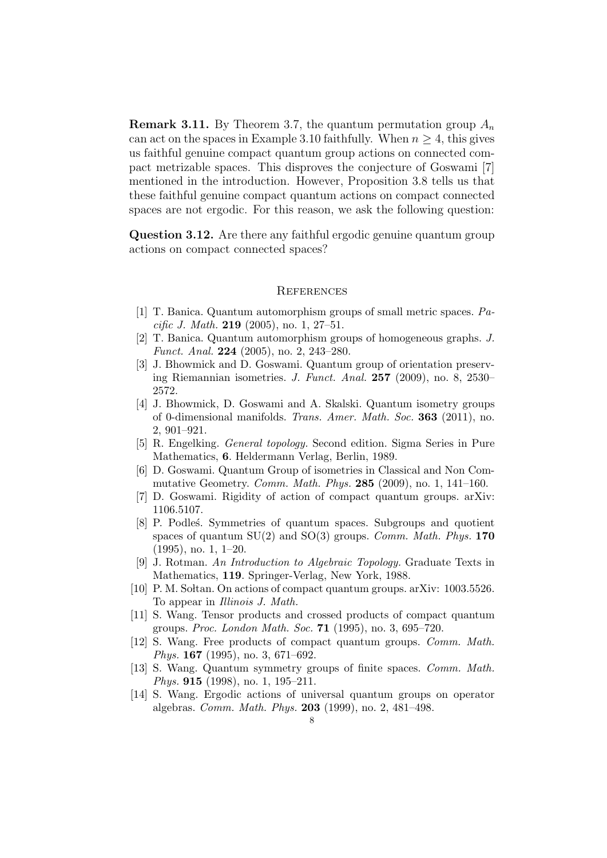**Remark 3.11.** By Theorem 3.7, the quantum permutation group  $A_n$ can act on the spaces in Example 3.10 faithfully. When  $n \geq 4$ , this gives us faithful genuine compact quantum group actions on connected compact metrizable spaces. This disproves the conjecture of Goswami [7] mentioned in the introduction. However, Proposition 3.8 tells us that these faithful genuine compact quantum actions on compact connected spaces are not ergodic. For this reason, we ask the following question:

Question 3.12. Are there any faithful ergodic genuine quantum group actions on compact connected spaces?

#### **REFERENCES**

- [1] T. Banica. Quantum automorphism groups of small metric spaces. Pacific J. Math. **219** (2005), no. 1, 27–51.
- [2] T. Banica. Quantum automorphism groups of homogeneous graphs. J. Funct. Anal. 224 (2005), no. 2, 243–280.
- [3] J. Bhowmick and D. Goswami. Quantum group of orientation preserving Riemannian isometries. J. Funct. Anal. 257 (2009), no. 8, 2530– 2572.
- [4] J. Bhowmick, D. Goswami and A. Skalski. Quantum isometry groups of 0-dimensional manifolds. Trans. Amer. Math. Soc. 363 (2011), no. 2, 901–921.
- [5] R. Engelking. General topology. Second edition. Sigma Series in Pure Mathematics, 6. Heldermann Verlag, Berlin, 1989.
- [6] D. Goswami. Quantum Group of isometries in Classical and Non Commutative Geometry. Comm. Math. Phys. 285 (2009), no. 1, 141–160.
- [7] D. Goswami. Rigidity of action of compact quantum groups. arXiv: 1106.5107.
- [8] P. Podles. Symmetries of quantum spaces. Subgroups and quotient spaces of quantum  $SU(2)$  and  $SO(3)$  groups. *Comm. Math. Phys.* 170 (1995), no. 1, 1–20.
- [9] J. Rotman. An Introduction to Algebraic Topology. Graduate Texts in Mathematics, 119. Springer-Verlag, New York, 1988.
- [10] P. M. Soltan. On actions of compact quantum groups.  $arXiv: 1003.5526$ . To appear in Illinois J. Math.
- [11] S. Wang. Tensor products and crossed products of compact quantum groups. Proc. London Math. Soc. 71 (1995), no. 3, 695–720.
- [12] S. Wang. Free products of compact quantum groups. Comm. Math. Phys. 167 (1995), no. 3, 671–692.
- [13] S. Wang. Quantum symmetry groups of finite spaces. Comm. Math. Phys. 915 (1998), no. 1, 195–211.
- [14] S. Wang. Ergodic actions of universal quantum groups on operator algebras. Comm. Math. Phys. 203 (1999), no. 2, 481–498.